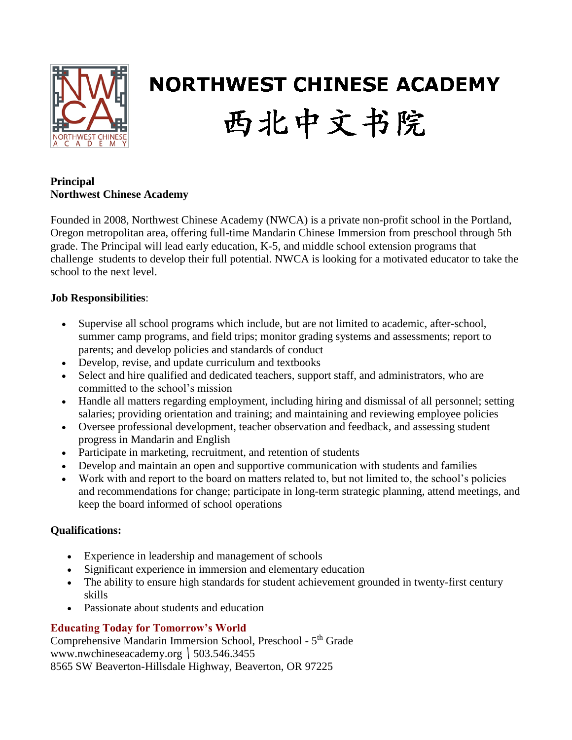

# **NORTHWEST CHINESE ACADEMY** 西北中文书院

#### **Principal Northwest Chinese Academy**

Founded in 2008, Northwest Chinese Academy (NWCA) is a private non-profit school in the Portland, Oregon metropolitan area, offering full-time Mandarin Chinese Immersion from preschool through 5th grade. The Principal will lead early education, K-5, and middle school extension programs that challenge students to develop their full potential. NWCA is looking for a motivated educator to take the school to the next level.

# **Job Responsibilities**:

- Supervise all school programs which include, but are not limited to academic, after-school, summer camp programs, and field trips; monitor grading systems and assessments; report to parents; and develop policies and standards of conduct
- Develop, revise, and update curriculum and textbooks
- Select and hire qualified and dedicated teachers, support staff, and administrators, who are committed to the school's mission
- Handle all matters regarding employment, including hiring and dismissal of all personnel; setting salaries; providing orientation and training; and maintaining and reviewing employee policies
- Oversee professional development, teacher observation and feedback, and assessing student progress in Mandarin and English
- Participate in marketing, recruitment, and retention of students
- Develop and maintain an open and supportive communication with students and families
- Work with and report to the board on matters related to, but not limited to, the school's policies and recommendations for change; participate in long-term strategic planning, attend meetings, and keep the board informed of school operations

### **Qualifications:**

- Experience in leadership and management of schools
- Significant experience in immersion and elementary education
- The ability to ensure high standards for student achievement grounded in twenty-first century skills
- Passionate about students and education

# **Educating Today for Tomorrow's World**

Comprehensive Mandarin Immersion School, Preschool - 5<sup>th</sup> Grade www.nwchineseacademy.org  $\vert$  503.546.3455 8565 SW Beaverton-Hillsdale Highway, Beaverton, OR 97225